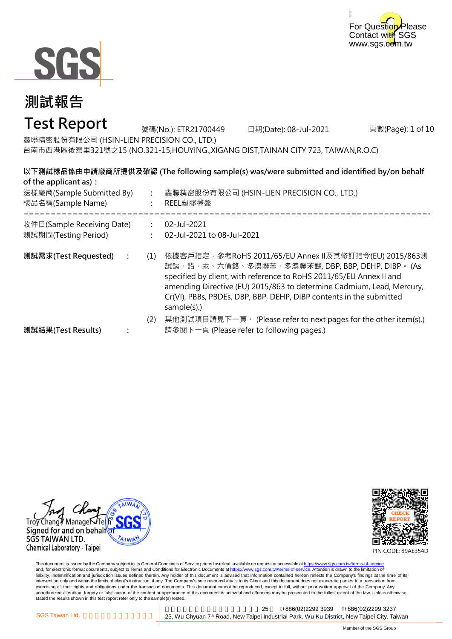



## **Test Report**

頁數(Page): 1 of 10 鑫聯精密股份有限公司 (HSIN-LIEN PRECISION CO., LTD.) 台南市西港區後營里321號之15 (NO.321-15,HOUYING.,XIGANG DIST,TAINAN CITY 723, TAIWAN,R.O.C) 號碼(No.): ETR21700449 日期(Date): 08-Jul-2021

### **以下測試樣品係由申請廠商所提供及確認 (The following sample(s) was/were submitted and identified by/on behalf of the applicant as):**

| 送樣廠商(Sample Submitted By)<br>樣品名稱(Sample Name)     |               | 鑫聯精密股份有限公司 (HSIN-LIEN PRECISION CO., LTD.)<br>REEL塑膠捲盤                                                                                                                                                                                                                                                                                         |  |
|----------------------------------------------------|---------------|------------------------------------------------------------------------------------------------------------------------------------------------------------------------------------------------------------------------------------------------------------------------------------------------------------------------------------------------|--|
| 收件日(Sample Receiving Date)<br>測試期間(Testing Period) | $\mathcal{L}$ | 02-Jul-2021<br>02-Jul-2021 to 08-Jul-2021                                                                                                                                                                                                                                                                                                      |  |
| 測試需求(Test Requested)                               | (1)           | 依據客戶指定‧參考RoHS 2011/65/EU Annex Ⅱ及其修訂指令(EU) 2015/863測<br>試鎘、鉛、汞、六價鉻、多溴聯苯、多溴聯苯醚, DBP, BBP, DEHP, DIBP。 (As<br>specified by client, with reference to RoHS 2011/65/EU Annex II and<br>amending Directive (EU) 2015/863 to determine Cadmium, Lead, Mercury,<br>Cr(VI), PBBs, PBDEs, DBP, BBP, DEHP, DIBP contents in the submitted<br>sample(s).) |  |
| 測試結果(Test Results)                                 | (2)           | 其他測試項目請見下一頁。 (Please refer to next pages for the other item(s).)<br>請參閱下一頁 (Please refer to following pages.)                                                                                                                                                                                                                                  |  |





PIN CODE: 89AE354D

This document is issued by the Company subject to its General Conditions of Service printed overleaf, available on request or accessible at <u>https://www.sgs.com.tw/terms-of-service</u><br>and, for electronic format documents, su liability, indemnification and jurisdiction issues defined therein. Any holder of this document is advised that information contained hereon reflects the Company's findings at the time of its intervention only and within the limits of client's instruction, if any. The Company's sole responsibility is to its Client and this document does not exonerate parties to a transaction from exercising all their rights and obligations under the transaction documents. This document cannot be reproduced, except in full, without prior written approval of the Company. Any<br>unauthorized alteration, forgery or falsif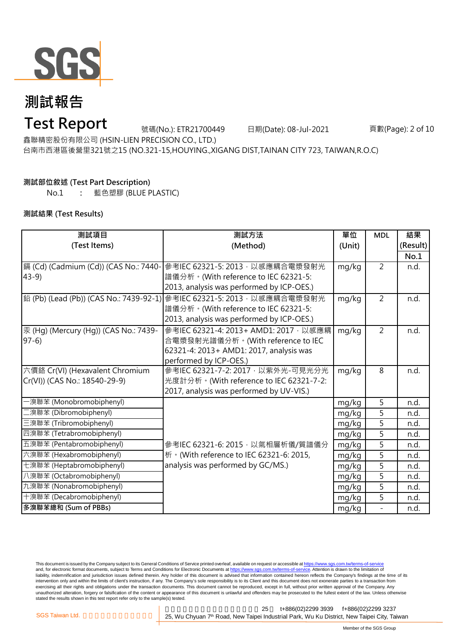

## **Test Report**

號碼(No.): ETR21700449 日期(Date): 08-Jul-2021

頁數(Page): 2 of 10

鑫聯精密股份有限公司 (HSIN-LIEN PRECISION CO., LTD.)

台南市西港區後營里321號之15 (NO.321-15,HOUYING.,XIGANG DIST,TAINAN CITY 723, TAIWAN,R.O.C)

#### **測試部位敘述 (Test Part Description)**

No.1 **:** 藍色塑膠 (BLUE PLASTIC)

#### **測試結果 (Test Results)**

| 測試項目                                  | 測試方法                                                                      | 單位     | <b>MDL</b>     | 結果       |
|---------------------------------------|---------------------------------------------------------------------------|--------|----------------|----------|
| (Test Items)                          | (Method)                                                                  | (Unit) |                | (Result) |
|                                       |                                                                           |        |                | No.1     |
| 鎘 (Cd) (Cadmium (Cd)) (CAS No.: 7440- | 參考IEC 62321-5: 2013, 以感應耦合電漿發射光                                           | mg/kg  | $\overline{2}$ | n.d.     |
| $43-9$                                | 譜儀分析。(With reference to IEC 62321-5:                                      |        |                |          |
|                                       | 2013, analysis was performed by ICP-OES.)                                 |        |                |          |
|                                       | │鉛 (Pb) (Lead (Pb)) (CAS No.: 7439-92-1)│參考IEC 62321-5: 2013 · 以感應耦合電漿發射光 | mg/kg  | $\overline{2}$ | n.d.     |
|                                       | 譜儀分析。(With reference to IEC 62321-5:                                      |        |                |          |
|                                       | 2013, analysis was performed by ICP-OES.)                                 |        |                |          |
| 汞 (Hg) (Mercury (Hg)) (CAS No.: 7439- | 參考IEC 62321-4: 2013+ AMD1: 2017, 以感應耦                                     | mg/kg  | $\overline{2}$ | n.d.     |
| $97-6$                                | 合電漿發射光譜儀分析。(With reference to IEC                                         |        |                |          |
|                                       | 62321-4: 2013+ AMD1: 2017, analysis was                                   |        |                |          |
|                                       | performed by ICP-OES.)                                                    |        |                |          |
| 六價鉻 Cr(VI) (Hexavalent Chromium       | 參考IEC 62321-7-2: 2017, 以紫外光-可見光分光                                         | mg/kg  | 8              | n.d.     |
| Cr(VI)) (CAS No.: 18540-29-9)         | 光度計分析。(With reference to IEC 62321-7-2:                                   |        |                |          |
|                                       | 2017, analysis was performed by UV-VIS.)                                  |        |                |          |
| 一溴聯苯 (Monobromobiphenyl)              |                                                                           | mg/kg  | 5              | n.d.     |
| 二溴聯苯 (Dibromobiphenyl)                |                                                                           | mg/kg  | 5              | n.d.     |
| 三溴聯苯 (Tribromobiphenyl)               |                                                                           | mg/kg  | 5              | n.d.     |
| 四溴聯苯 (Tetrabromobiphenyl)             |                                                                           | mg/kg  | 5              | n.d.     |
| 五溴聯苯 (Pentabromobiphenyl)             | 參考IEC 62321-6: 2015, 以氣相層析儀/質譜儀分                                          | mg/kg  | 5              | n.d.     |
| 六溴聯苯 (Hexabromobiphenyl)              | 析 · (With reference to IEC 62321-6: 2015,                                 | mg/kg  | 5              | n.d.     |
| 七溴聯苯 (Heptabromobiphenyl)             | analysis was performed by GC/MS.)                                         | mg/kg  | 5              | n.d.     |
| 八溴聯苯 (Octabromobiphenyl)              |                                                                           | mg/kg  | 5              | n.d.     |
| 九溴聯苯 (Nonabromobiphenyl)              |                                                                           | mg/kg  | 5              | n.d.     |
| 十溴聯苯 (Decabromobiphenyl)              |                                                                           | mg/kg  | 5              | n.d.     |
| 多溴聯苯總和 (Sum of PBBs)                  |                                                                           | mg/kg  | $\bar{a}$      | n.d.     |

This document is issued by the Company subject to its General Conditions of Service printed overleaf, available on request or accessible at <u>https://www.sgs.com.tw/terms-of-service</u><br>and, for electronic format documents, su liability, indemnification and jurisdiction issues defined therein. Any holder of this document is advised that information contained hereon reflects the Company's findings at the time of its intervention only and within the limits of client's instruction, if any. The Company's sole responsibility is to its Client and this document does not exonerate parties to a transaction from exercising all their rights and obligations under the transaction documents. This document cannot be reproduced, except in full, without prior written approval of the Company. Any<br>unauthorized alteration, forgery or falsif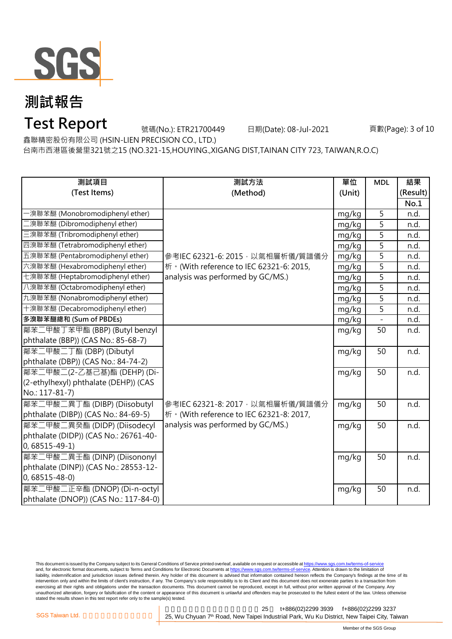

### **Test Report**

號碼(No.): ETR21700449 日期(Date): 08-Jul-2021

頁數(Page): 3 of 10

鑫聯精密股份有限公司 (HSIN-LIEN PRECISION CO., LTD.)

台南市西港區後營里321號之15 (NO.321-15,HOUYING.,XIGANG DIST,TAINAN CITY 723, TAIWAN,R.O.C)

| 測試項目                                  | 測試方法                                      | 單位     | <b>MDL</b>     | 結果       |
|---------------------------------------|-------------------------------------------|--------|----------------|----------|
| (Test Items)                          | (Method)                                  | (Unit) |                | (Result) |
|                                       |                                           |        |                | No.1     |
| -溴聯苯醚 (Monobromodiphenyl ether)       |                                           | mg/kg  | 5              | n.d.     |
| 二溴聯苯醚 (Dibromodiphenyl ether)         |                                           | mg/kg  | 5              | n.d.     |
| 三溴聯苯醚 (Tribromodiphenyl ether)        |                                           | mg/kg  | 5              | n.d.     |
| 四溴聯苯醚 (Tetrabromodiphenyl ether)      |                                           | mg/kg  | 5              | n.d.     |
| 五溴聯苯醚 (Pentabromodiphenyl ether)      | 參考IEC 62321-6: 2015, 以氣相層析儀/質譜儀分          | mg/kg  | 5              | n.d.     |
| 六溴聯苯醚 (Hexabromodiphenyl ether)       | 析 · (With reference to IEC 62321-6: 2015, | mg/kg  | 5              | n.d.     |
| 七溴聯苯醚 (Heptabromodiphenyl ether)      | analysis was performed by GC/MS.)         | mg/kg  | $\overline{5}$ | n.d.     |
| 八溴聯苯醚 (Octabromodiphenyl ether)       |                                           | mg/kg  | 5              | n.d.     |
| 九溴聯苯醚 (Nonabromodiphenyl ether)       |                                           | mg/kg  | $\overline{5}$ | n.d.     |
| 十溴聯苯醚 (Decabromodiphenyl ether)       |                                           | mg/kg  | 5              | n.d.     |
| 多溴聯苯醚總和 (Sum of PBDEs)                |                                           | mg/kg  |                | n.d.     |
| 鄰苯二甲酸丁苯甲酯 (BBP) (Butyl benzyl         |                                           | mg/kg  | 50             | n.d.     |
| phthalate (BBP)) (CAS No.: 85-68-7)   |                                           |        |                |          |
| 鄰苯二甲酸二丁酯 (DBP) (Dibutyl               |                                           | mg/kg  | 50             | n.d.     |
| phthalate (DBP)) (CAS No.: 84-74-2)   |                                           |        |                |          |
| 鄰苯二甲酸二(2-乙基己基)酯 (DEHP) (Di-           |                                           | mg/kg  | 50             | n.d.     |
| (2-ethylhexyl) phthalate (DEHP)) (CAS |                                           |        |                |          |
| No.: 117-81-7)                        |                                           |        |                |          |
| 鄰苯二甲酸二異丁酯 (DIBP) (Diisobutyl          | 參考IEC 62321-8: 2017, 以氣相層析儀/質譜儀分          | mg/kg  | 50             | n.d.     |
| phthalate (DIBP)) (CAS No.: 84-69-5)  | 析 · (With reference to IEC 62321-8: 2017, |        |                |          |
| 鄰苯二甲酸二異癸酯 (DIDP) (Diisodecyl          | analysis was performed by GC/MS.)         | mg/kg  | 50             | n.d.     |
| phthalate (DIDP)) (CAS No.: 26761-40- |                                           |        |                |          |
| $0,68515-49-1)$                       |                                           |        |                |          |
| 鄰苯二甲酸二異壬酯 (DINP) (Diisononyl          |                                           | mg/kg  | 50             | n.d.     |
| phthalate (DINP)) (CAS No.: 28553-12- |                                           |        |                |          |
| $0,68515 - 48 - 0$                    |                                           |        |                |          |
| 鄰苯二甲酸二正辛酯 (DNOP) (Di-n-octyl          |                                           | mg/kg  | 50             | n.d.     |
| phthalate (DNOP)) (CAS No.: 117-84-0) |                                           |        |                |          |

This document is issued by the Company subject to its General Conditions of Service printed overleaf, available on request or accessible at <u>https://www.sgs.com.tw/terms-of-service</u><br>and, for electronic format documents, su liability, indemnification and jurisdiction issues defined therein. Any holder of this document is advised that information contained hereon reflects the Company's findings at the time of its intervention only and within the limits of client's instruction, if any. The Company's sole responsibility is to its Client and this document does not exonerate parties to a transaction from exercising all their rights and obligations under the transaction documents. This document cannot be reproduced, except in full, without prior written approval of the Company. Any<br>unauthorized alteration, forgery or falsif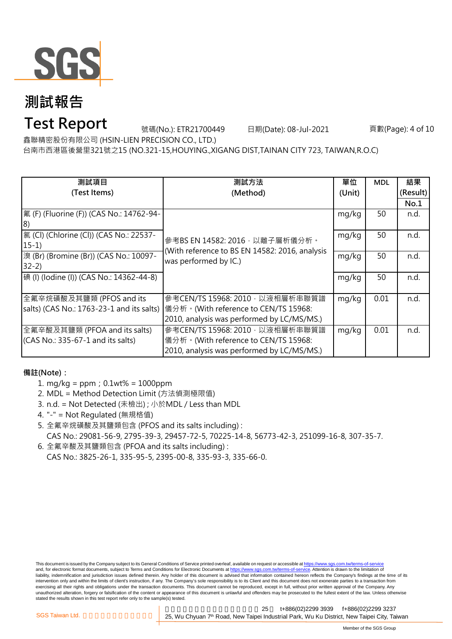

## **Test Report**

號碼(No.): ETR21700449 日期(Date): 08-Jul-2021

頁數(Page): 4 of 10

鑫聯精密股份有限公司 (HSIN-LIEN PRECISION CO., LTD.)

台南市西港區後營里321號之15 (NO.321-15,HOUYING.,XIGANG DIST,TAINAN CITY 723, TAIWAN,R.O.C)

| 測試項目                                      | 測試方法                                                                                                      | 單位     | <b>MDL</b> | 結果       |
|-------------------------------------------|-----------------------------------------------------------------------------------------------------------|--------|------------|----------|
| (Test Items)                              | (Method)                                                                                                  | (Unit) |            | (Result) |
|                                           |                                                                                                           |        |            | No.1     |
| 氟 (F) (Fluorine (F)) (CAS No.: 14762-94-  |                                                                                                           | mg/kg  | 50         | n.d.     |
| 18)                                       |                                                                                                           |        |            |          |
| [氯 (Cl) (Chlorine (Cl)) (CAS No.: 22537-  | 參考BS EN 14582: 2016, 以離子層析儀分析。<br>(With reference to BS EN 14582: 2016, analysis<br>was performed by IC.) | mg/kg  | 50         | n.d.     |
| $15-1)$                                   |                                                                                                           |        |            |          |
| 澳 (Br) (Bromine (Br)) (CAS No.: 10097-    |                                                                                                           | mg/kg  | 50         | n.d.     |
| $32-2)$                                   |                                                                                                           |        |            |          |
| 碘 (I) (Iodine (I)) (CAS No.: 14362-44-8)  |                                                                                                           | mg/kg  | 50         | n.d.     |
|                                           |                                                                                                           |        |            |          |
| 全氟辛烷磺酸及其鹽類 (PFOS and its                  | 參考CEN/TS 15968: 2010, 以液相層析串聯質譜                                                                           | mg/kg  | 0.01       | n.d.     |
| salts) (CAS No.: 1763-23-1 and its salts) | 儀分析。(With reference to CEN/TS 15968:                                                                      |        |            |          |
|                                           | 2010, analysis was performed by LC/MS/MS.)                                                                |        |            |          |
| 全氟辛酸及其鹽類 (PFOA and its salts)             | 參考CEN/TS 15968: 2010, 以液相層析串聯質譜                                                                           | mg/kg  | 0.01       | n.d.     |
| $(CAS No.: 335-67-1$ and its salts)       | 儀分析。(With reference to CEN/TS 15968:                                                                      |        |            |          |
|                                           | 2010, analysis was performed by LC/MS/MS.)                                                                |        |            |          |

#### **備註(Note):**

- 1. mg/kg = ppm;0.1wt% = 1000ppm
- 2. MDL = Method Detection Limit (方法偵測極限值)
- 3. n.d. = Not Detected (未檢出) ; 小於MDL / Less than MDL
- 4. "-" = Not Regulated (無規格值)
- 5. 全氟辛烷磺酸及其鹽類包含 (PFOS and its salts including) : CAS No.: 29081-56-9, 2795-39-3, 29457-72-5, 70225-14-8, 56773-42-3, 251099-16-8, 307-35-7.
- 6. 全氟辛酸及其鹽類包含 (PFOA and its salts including) : CAS No.: 3825-26-1, 335-95-5, 2395-00-8, 335-93-3, 335-66-0.

This document is issued by the Company subject to its General Conditions of Service printed overleaf, available on request or accessible at https://www.sgs.com.tw/terms-of-service and, for electronic format documents, subject to Terms and Conditions for Electronic Documents at https://www.sgs.com.tw/terms-of-service. Attention is drawn to the limitation of liability, indemnification and jurisdiction issues defined therein. Any holder of this document is advised that information contained hereon reflects the Company's findings at the time of its intervention only and within the limits of client's instruction, if any. The Company's sole responsibility is to its Client and this document does not exonerate parties to a transaction from exercising all their rights and obligations under the transaction documents. This document cannot be reproduced, except in full, without prior written approval of the Company. Any<br>unauthorized alteration, forgery or falsif stated the results shown in this test report refer only to the sample(s) tested.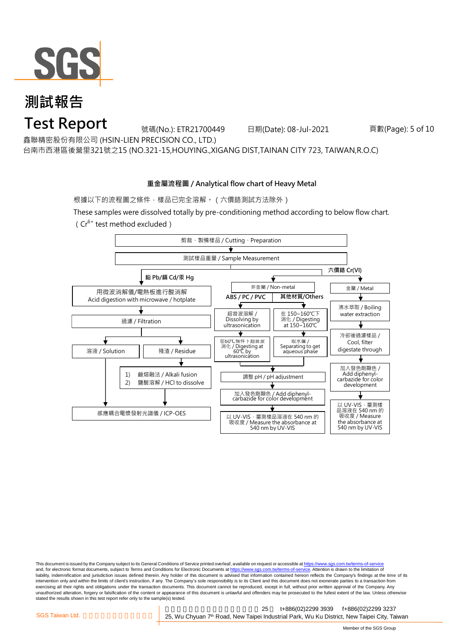

**Test Report**

號碼(No.): ETR21700449 日期(Date): 08-Jul-2021

頁數(Page): 5 of 10

鑫聯精密股份有限公司 (HSIN-LIEN PRECISION CO., LTD.)

台南市西港區後營里321號之15 (NO.321-15,HOUYING.,XIGANG DIST,TAINAN CITY 723, TAIWAN,R.O.C)

#### **重金屬流程圖 / Analytical flow chart of Heavy Metal**

根據以下的流程圖之條件,樣品已完全溶解。(六價鉻測試方法除外)

These samples were dissolved totally by pre-conditioning method according to below flow chart. (Cr6+ test method excluded)



This document is issued by the Company subject to its General Conditions of Service printed overleaf, available on request or accessible at https://www.sgs.com.tw/terms-of-service and, for electronic format documents, subject to Terms and Conditions for Electronic Documents at https://www.sgs.com.tw/terms-of-service. Attention is drawn to the limitation of liability, indemnification and jurisdiction issues defined therein. Any holder of this document is advised that information contained hereon reflects the Company's findings at the time of its intervention only and within the limits of client's instruction, if any. The Company's sole responsibility is to its Client and this document does not exonerate parties to a transaction from exercising all their rights and obligations under the transaction documents. This document cannot be reproduced, except in full, without prior written approval of the Company. Any<br>unauthorized alteration, forgery or falsif stated the results shown in this test report refer only to the sample(s) tested.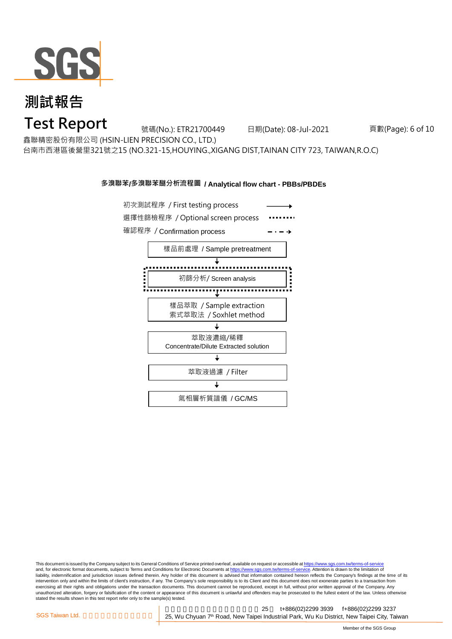

**Test Report**

號碼(No.): ETR21700449 日期(Date): 08-Jul-2021

頁數(Page): 6 of 10

鑫聯精密股份有限公司 (HSIN-LIEN PRECISION CO., LTD.)

台南市西港區後營里321號之15 (NO.321-15,HOUYING.,XIGANG DIST,TAINAN CITY 723, TAIWAN,R.O.C)

#### **多溴聯苯/多溴聯苯醚分析流程圖 / Analytical flow chart - PBBs/PBDEs**



This document is issued by the Company subject to its General Conditions of Service printed overleaf, available on request or accessible at https://www.sgs.com.tw/terms-of-service and, for electronic format documents, subject to Terms and Conditions for Electronic Documents at https://www.sgs.com.tw/terms-of-service. Attention is drawn to the limitation of liability, indemnification and jurisdiction issues defined therein. Any holder of this document is advised that information contained hereon reflects the Company's findings at the time of its intervention only and within the limits of client's instruction, if any. The Company's sole responsibility is to its Client and this document does not exonerate parties to a transaction from exercising all their rights and obligations under the transaction documents. This document cannot be reproduced, except in full, without prior written approval of the Company. Any<br>unauthorized alteration, forgery or falsif stated the results shown in this test report refer only to the sample(s) tested.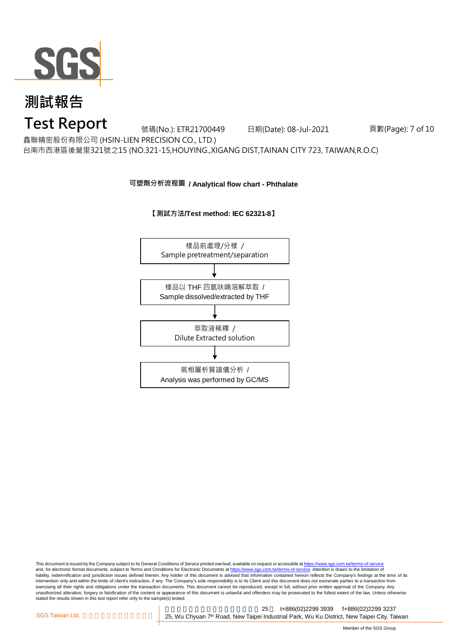

### **Test Report**

號碼(No.): ETR21700449 日期(Date): 08-Jul-2021

頁數(Page): 7 of 10

鑫聯精密股份有限公司 (HSIN-LIEN PRECISION CO., LTD.)

台南市西港區後營里321號之15 (NO.321-15,HOUYING.,XIGANG DIST,TAINAN CITY 723, TAIWAN,R.O.C)

#### **可塑劑分析流程圖 / Analytical flow chart - Phthalate**





This document is issued by the Company subject to its General Conditions of Service printed overleaf, available on request or accessible at <u>https://www.sgs.com.tw/terms-of-service</u><br>and, for electronic format documents, su liability, indemnification and jurisdiction issues defined therein. Any holder of this document is advised that information contained hereon reflects the Company's findings at the time of its intervention only and within the limits of client's instruction, if any. The Company's sole responsibility is to its Client and this document does not exonerate parties to a transaction from exercising all their rights and obligations under the transaction documents. This document cannot be reproduced, except in full, without prior written approval of the Company. Any<br>unauthorized alteration, forgery or falsif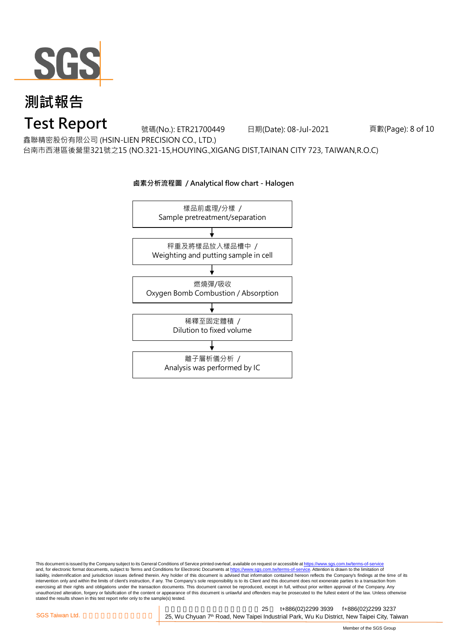

### **Test Report**

號碼(No.): ETR21700449 日期(Date): 08-Jul-2021

頁數(Page): 8 of 10

鑫聯精密股份有限公司 (HSIN-LIEN PRECISION CO., LTD.)

台南市西港區後營里321號之15 (NO.321-15,HOUYING.,XIGANG DIST,TAINAN CITY 723, TAIWAN,R.O.C)



#### **鹵素分析流程圖 / Analytical flow chart - Halogen**

This document is issued by the Company subject to its General Conditions of Service printed overleaf, available on request or accessible at <u>https://www.sgs.com.tw/terms-of-service</u><br>and, for electronic format documents, su liability, indemnification and jurisdiction issues defined therein. Any holder of this document is advised that information contained hereon reflects the Company's findings at the time of its intervention only and within the limits of client's instruction, if any. The Company's sole responsibility is to its Client and this document does not exonerate parties to a transaction from exercising all their rights and obligations under the transaction documents. This document cannot be reproduced, except in full, without prior written approval of the Company. Any<br>unauthorized alteration, forgery or falsif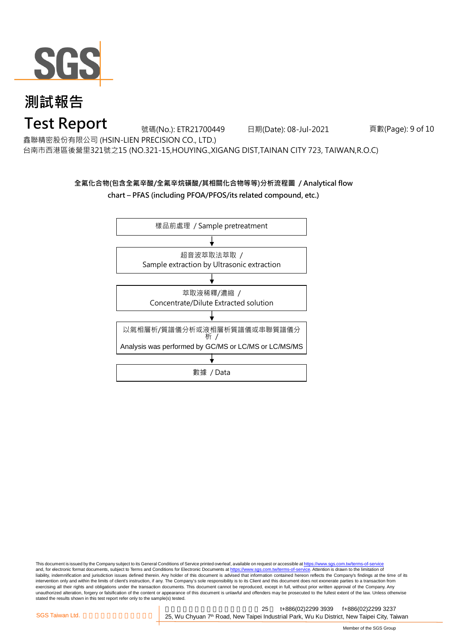

### **Test Report**

號碼(No.): ETR21700449 日期(Date): 08-Jul-2021

頁數(Page): 9 of 10

鑫聯精密股份有限公司 (HSIN-LIEN PRECISION CO., LTD.)

台南市西港區後營里321號之15 (NO.321-15,HOUYING.,XIGANG DIST,TAINAN CITY 723, TAIWAN,R.O.C)

### **全氟化合物(包含全氟辛酸/全氟辛烷磺酸/其相關化合物等等)分析流程圖 / Analytical flow**

**chart – PFAS (including PFOA/PFOS/its related compound, etc.)**



This document is issued by the Company subject to its General Conditions of Service printed overleaf, available on request or accessible at https://www.sgs.com.tw/terms-of-service and, for electronic format documents, subject to Terms and Conditions for Electronic Documents at https://www.sgs.com.tw/terms-of-service. Attention is drawn to the limitation of liability, indemnification and jurisdiction issues defined therein. Any holder of this document is advised that information contained hereon reflects the Company's findings at the time of its intervention only and within the limits of client's instruction, if any. The Company's sole responsibility is to its Client and this document does not exonerate parties to a transaction from exercising all their rights and obligations under the transaction documents. This document cannot be reproduced, except in full, without prior written approval of the Company. Any<br>unauthorized alteration, forgery or falsif stated the results shown in this test report refer only to the sample(s) tested.